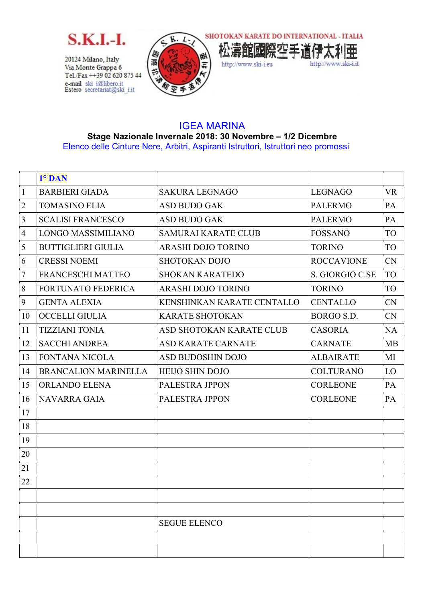

20124 Milano, Italy Via Monte Grappa 6 Tel./Fax ++39 02 620 875 44 e-mail ski i@libero.it<br>Estero secretariat@ski\_i.it





## IGEA MARINA Stage Nazionale Invernale 2018: 30 Novembre – 1/2 Dicembre Elenco delle Cinture Nere, Arbitri, Aspiranti Istruttori, Istruttori neo promossi

|                | 1° DAN                      |                            |                   |           |
|----------------|-----------------------------|----------------------------|-------------------|-----------|
| $\mathbf{1}$   | <b>BARBIERI GIADA</b>       | <b>SAKURA LEGNAGO</b>      | <b>LEGNAGO</b>    | <b>VR</b> |
| $\overline{2}$ | <b>TOMASINO ELIA</b>        | ASD BUDO GAK               | <b>PALERMO</b>    | PA        |
| 3              | <b>SCALISI FRANCESCO</b>    | <b>ASD BUDO GAK</b>        | <b>PALERMO</b>    | PA        |
| $\overline{4}$ | LONGO MASSIMILIANO          | <b>SAMURAI KARATE CLUB</b> | <b>FOSSANO</b>    | TO        |
| 5              | <b>BUTTIGLIERI GIULIA</b>   | <b>ARASHI DOJO TORINO</b>  | <b>TORINO</b>     | TO        |
| 6              | <b>CRESSI NOEMI</b>         | <b>SHOTOKAN DOJO</b>       | <b>ROCCAVIONE</b> | <b>CN</b> |
| 7              | FRANCESCHI MATTEO           | <b>SHOKAN KARATEDO</b>     | S. GIORGIO C.SE   | TO        |
| 8              | <b>FORTUNATO FEDERICA</b>   | <b>ARASHI DOJO TORINO</b>  | <b>TORINO</b>     | TO        |
| 9              | <b>GENTA ALEXIA</b>         | KENSHINKAN KARATE CENTALLO | <b>CENTALLO</b>   | <b>CN</b> |
| 10             | <b>OCCELLI GIULIA</b>       | <b>KARATE SHOTOKAN</b>     | BORGO S.D.        | <b>CN</b> |
| 11             | <b>TIZZIANI TONIA</b>       | ASD SHOTOKAN KARATE CLUB   | <b>CASORIA</b>    | <b>NA</b> |
| 12             | <b>SACCHI ANDREA</b>        | <b>ASD KARATE CARNATE</b>  | <b>CARNATE</b>    | <b>MB</b> |
| 13             | <b>FONTANA NICOLA</b>       | <b>ASD BUDOSHIN DOJO</b>   | <b>ALBAIRATE</b>  | MI        |
| 14             | <b>BRANCALION MARINELLA</b> | <b>HEIJO SHIN DOJO</b>     | <b>COLTURANO</b>  | LO        |
| 15             | ORLANDO ELENA               | PALESTRA JPPON             | <b>CORLEONE</b>   | PA        |
| 16             | <b>NAVARRA GAIA</b>         | PALESTRA JPPON             | <b>CORLEONE</b>   | PA        |
| 17             |                             |                            |                   |           |
| 18             |                             |                            |                   |           |
| 19             |                             |                            |                   |           |
| 20             |                             |                            |                   |           |
| 21             |                             |                            |                   |           |
| 22             |                             |                            |                   |           |
|                |                             |                            |                   |           |
|                |                             |                            |                   |           |
|                |                             | <b>SEGUE ELENCO</b>        |                   |           |
|                |                             |                            |                   |           |
|                |                             |                            |                   |           |